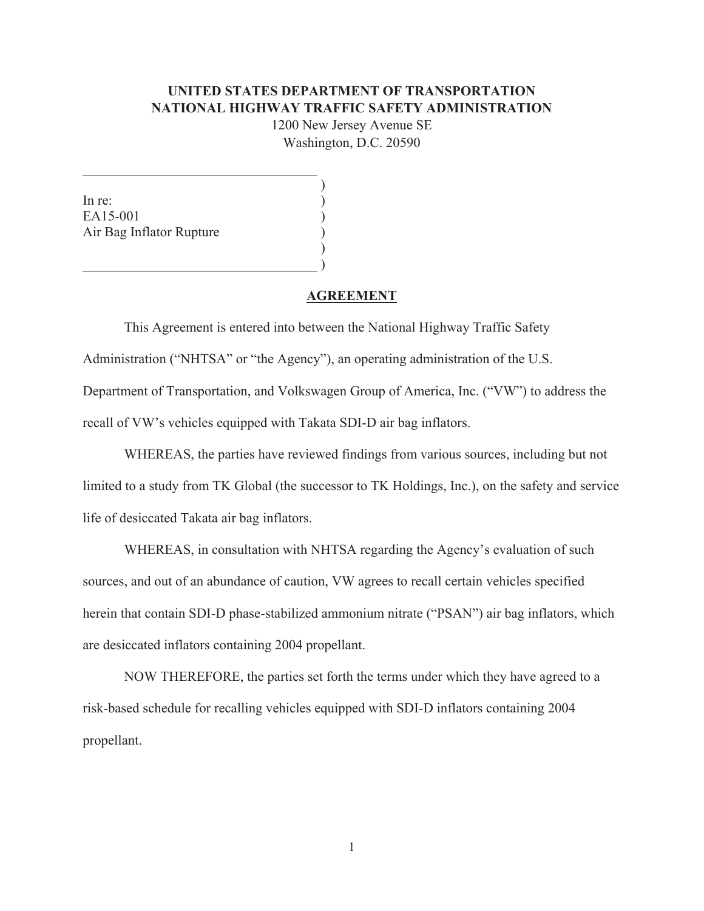### **UNITED STATES DEPARTMENT OF TRANSPORTATION NATIONAL HIGHWAY TRAFFIC SAFETY ADMINISTRATION**

1200 New Jersey Avenue SE Washington, D.C. 20590

> $\mathcal{L}$  $\mathcal{L}$  $\mathcal{L}$  $\mathcal{L}$  $\overline{)}$  $\mathcal{L}$

In re: EA15-001 Air Bag Inflator Rupture

#### **AGREEMENT**

 This Agreement is entered into between the National Highway Traffic Safety Administration ("NHTSA" or "the Agency"), an operating administration of the U.S. Department of Transportation, and Volkswagen Group of America, Inc. ("VW") to address the recall of VW's vehicles equipped with Takata SDI-D air bag inflators.

 WHEREAS, the parties have reviewed findings from various sources, including but not limited to a study from TK Global (the successor to TK Holdings, Inc.), on the safety and service life of desiccated Takata air bag inflators.

 WHEREAS, in consultation with NHTSA regarding the Agency's evaluation of such sources, and out of an abundance of caution, VW agrees to recall certain vehicles specified herein that contain SDI-D phase-stabilized ammonium nitrate ("PSAN") air bag inflators, which are desiccated inflators containing 2004 propellant.

 NOW THEREFORE, the parties set forth the terms under which they have agreed to a risk-based schedule for recalling vehicles equipped with SDI-D inflators containing 2004 propellant.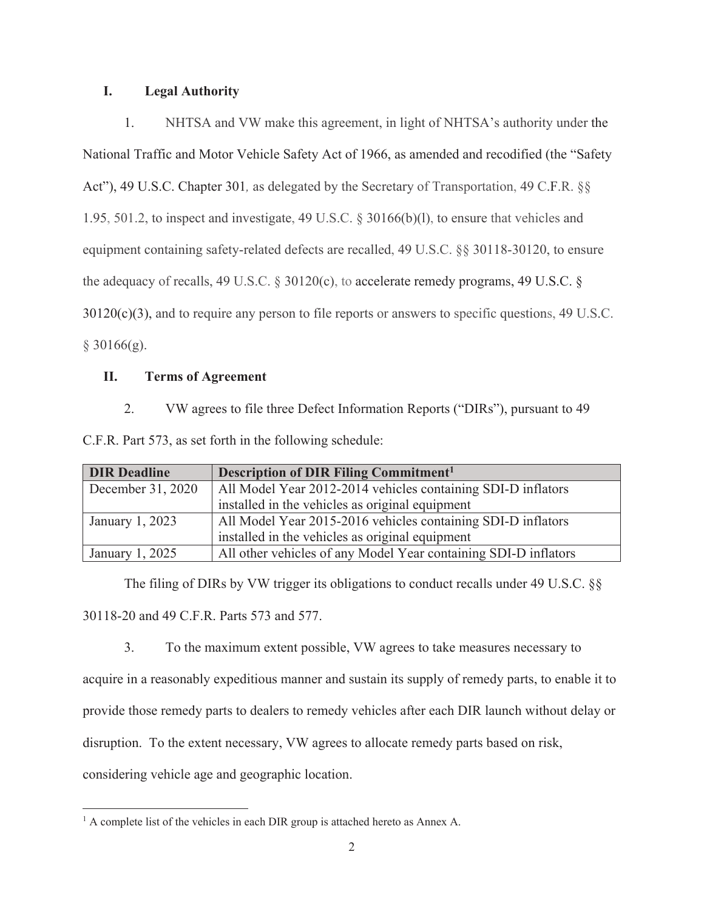### **I. Legal Authority**

1. NHTSA and VW make this agreement, in light of NHTSA's authority under the National Traffic and Motor Vehicle Safety Act of 1966, as amended and recodified (the "Safety Act"), 49 U.S.C. Chapter 301*,* as delegated by the Secretary of Transportation, 49 C.F.R. §§ 1.95, 501.2, to inspect and investigate, 49 U.S.C. § 30166(b)(l), to ensure that vehicles and equipment containing safety-related defects are recalled, 49 U.S.C. §§ 30118-30120, to ensure the adequacy of recalls, 49 U.S.C.  $\S$  30120(c), to accelerate remedy programs, 49 U.S.C.  $\S$ 30120(c)(3), and to require any person to file reports or answers to specific questions, 49 U.S.C.  $§$  30166(g).

## **II. Terms of Agreement**

2. VW agrees to file three Defect Information Reports ("DIRs"), pursuant to 49

|  |  |  | C.F.R. Part 573, as set forth in the following schedule: |  |
|--|--|--|----------------------------------------------------------|--|
|--|--|--|----------------------------------------------------------|--|

| <b>DIR Deadline</b> | <b>Description of DIR Filing Commitment<sup>1</sup></b>         |
|---------------------|-----------------------------------------------------------------|
| December $31, 2020$ | All Model Year 2012-2014 vehicles containing SDI-D inflators    |
|                     | installed in the vehicles as original equipment                 |
| January 1, 2023     | All Model Year 2015-2016 vehicles containing SDI-D inflators    |
|                     | installed in the vehicles as original equipment                 |
| January 1, 2025     | All other vehicles of any Model Year containing SDI-D inflators |

The filing of DIRs by VW trigger its obligations to conduct recalls under 49 U.S.C. §§ 30118-20 and 49 C.F.R. Parts 573 and 577.

3. To the maximum extent possible, VW agrees to take measures necessary to acquire in a reasonably expeditious manner and sustain its supply of remedy parts, to enable it to provide those remedy parts to dealers to remedy vehicles after each DIR launch without delay or disruption. To the extent necessary, VW agrees to allocate remedy parts based on risk, considering vehicle age and geographic location.

 $<sup>1</sup>$  A complete list of the vehicles in each DIR group is attached hereto as Annex A.</sup>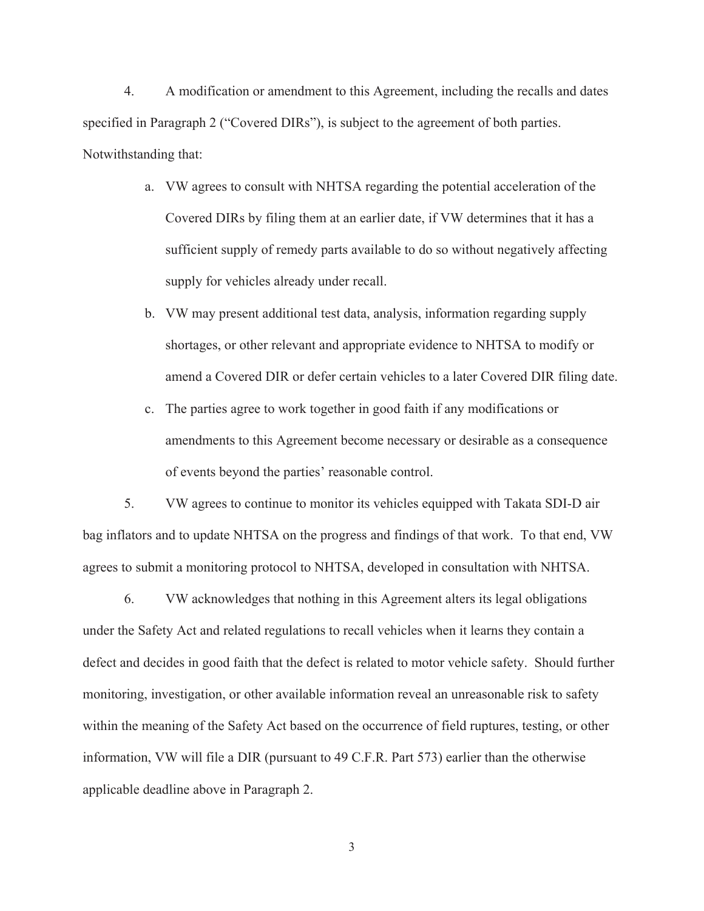4. A modification or amendment to this Agreement, including the recalls and dates specified in Paragraph 2 ("Covered DIRs"), is subject to the agreement of both parties. Notwithstanding that:

- a. VW agrees to consult with NHTSA regarding the potential acceleration of the Covered DIRs by filing them at an earlier date, if VW determines that it has a sufficient supply of remedy parts available to do so without negatively affecting supply for vehicles already under recall.
- b. VW may present additional test data, analysis, information regarding supply shortages, or other relevant and appropriate evidence to NHTSA to modify or amend a Covered DIR or defer certain vehicles to a later Covered DIR filing date.
- c. The parties agree to work together in good faith if any modifications or amendments to this Agreement become necessary or desirable as a consequence of events beyond the parties' reasonable control.

5. VW agrees to continue to monitor its vehicles equipped with Takata SDI-D air bag inflators and to update NHTSA on the progress and findings of that work. To that end, VW agrees to submit a monitoring protocol to NHTSA, developed in consultation with NHTSA.

6. VW acknowledges that nothing in this Agreement alters its legal obligations under the Safety Act and related regulations to recall vehicles when it learns they contain a defect and decides in good faith that the defect is related to motor vehicle safety. Should further monitoring, investigation, or other available information reveal an unreasonable risk to safety within the meaning of the Safety Act based on the occurrence of field ruptures, testing, or other information, VW will file a DIR (pursuant to 49 C.F.R. Part 573) earlier than the otherwise applicable deadline above in Paragraph 2.

3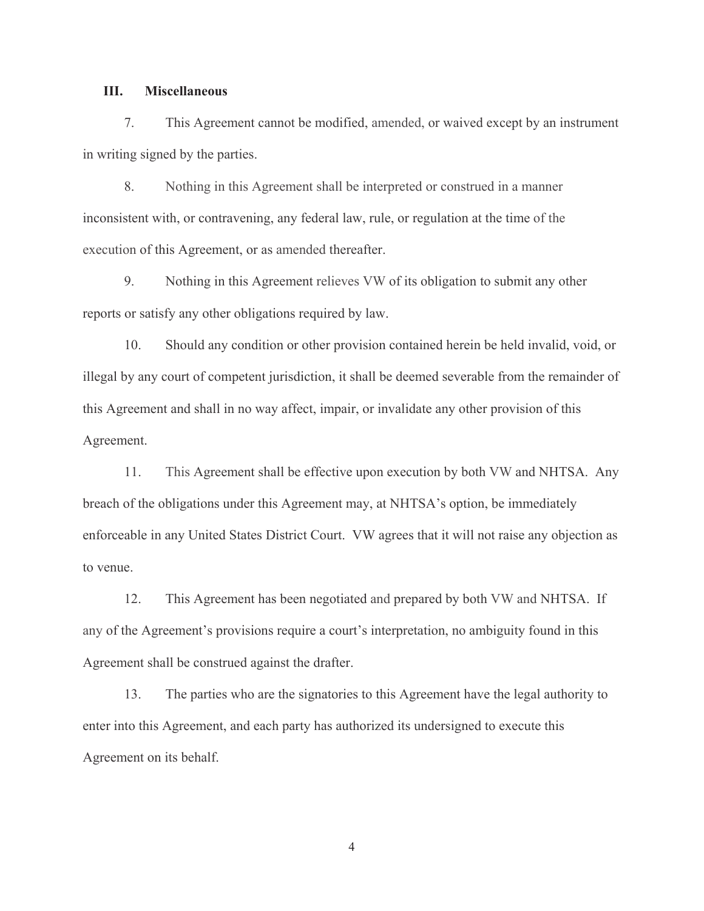### **III. Miscellaneous**

7. This Agreement cannot be modified, amended, or waived except by an instrument in writing signed by the parties.

8. Nothing in this Agreement shall be interpreted or construed in a manner inconsistent with, or contravening, any federal law, rule, or regulation at the time of the execution of this Agreement, or as amended thereafter.

9. Nothing in this Agreement relieves VW of its obligation to submit any other reports or satisfy any other obligations required by law.

10. Should any condition or other provision contained herein be held invalid, void, or illegal by any court of competent jurisdiction, it shall be deemed severable from the remainder of this Agreement and shall in no way affect, impair, or invalidate any other provision of this Agreement.

11. This Agreement shall be effective upon execution by both VW and NHTSA. Any breach of the obligations under this Agreement may, at NHTSA's option, be immediately enforceable in any United States District Court. VW agrees that it will not raise any objection as to venue.

12. This Agreement has been negotiated and prepared by both VW and NHTSA. If any of the Agreement's provisions require a court's interpretation, no ambiguity found in this Agreement shall be construed against the drafter.

13. The parties who are the signatories to this Agreement have the legal authority to enter into this Agreement, and each party has authorized its undersigned to execute this Agreement on its behalf.

4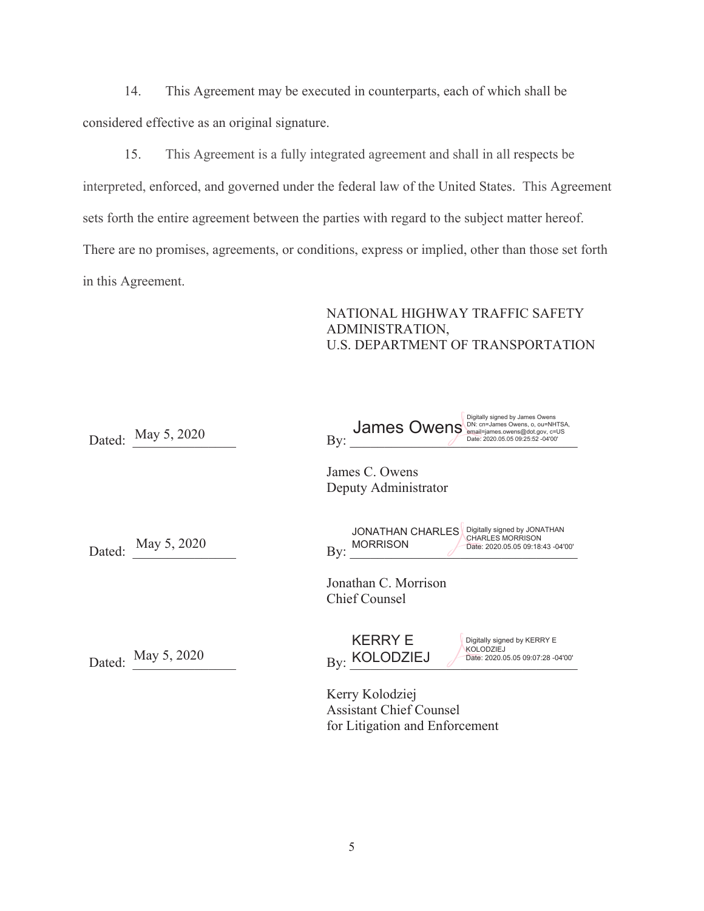14. This Agreement may be executed in counterparts, each of which shall be considered effective as an original signature.

15. This Agreement is a fully integrated agreement and shall in all respects be interpreted, enforced, and governed under the federal law of the United States. This Agreement sets forth the entire agreement between the parties with regard to the subject matter hereof. There are no promises, agreements, or conditions, express or implied, other than those set forth in this Agreement.

## NATIONAL HIGHWAY TRAFFIC SAFETY ADMINISTRATION, U.S. DEPARTMENT OF TRANSPORTATION

| Dated: | May 5, 2020 | Digitally signed by James Owens<br>James Owens Lames Owens, o, OU-NHTSA,<br>By:<br>Date: 2020.05.05 09:25:52 -04'00'                                                                                                     |
|--------|-------------|--------------------------------------------------------------------------------------------------------------------------------------------------------------------------------------------------------------------------|
|        |             | James C. Owens<br>Deputy Administrator                                                                                                                                                                                   |
| Dated: | May 5, 2020 | Digitally signed by JONATHAN<br><b>JONATHAN CHARLES</b><br><b>CHARLES MORRISON</b><br><b>MORRISON</b><br>Date: 2020.05.05 09:18:43 -04'00'<br>$\rm\,By:$<br>Jonathan C. Morrison<br><b>Chief Counsel</b>                 |
| Dated: | May 5, 2020 | <b>KERRY E</b><br>Digitally signed by KERRY E<br><b>KOLODZIEJ</b><br><b>KOLODZIEJ</b><br>Date: 2020.05.05 09:07:28 -04'00'<br>Bv:<br>Kerry Kolodziej<br><b>Assistant Chief Counsel</b><br>for Litigation and Enforcement |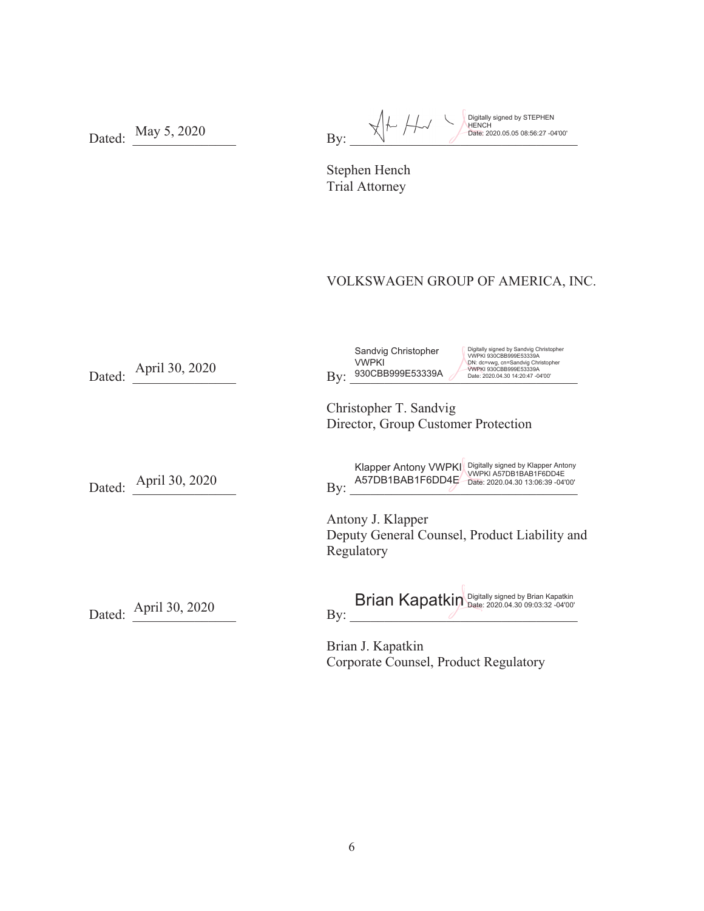Dated: May 5, 2020 Digitally signed by STEPHEN HENCH Date: 2020.05.05 08:56:27 -04'00'

Stephen Hench Trial Attorney

# VOLKSWAGEN GROUP OF AMERICA, INC.

| Dated: | April 30, 2020        | Digitally signed by Sandvig Christopher<br>Sandvig Christopher<br>VWPKI 930CBB999E53339A<br><b>VWPKI</b><br>DN: dc=vwg, cn=Sandvig Christopher<br>VWPKI 930CBB999E53339A<br>930CBB999E53339A<br>$\rm\,By:$<br>Date: 2020.04.30 14:20:47 -04'00' |
|--------|-----------------------|-------------------------------------------------------------------------------------------------------------------------------------------------------------------------------------------------------------------------------------------------|
|        |                       | Christopher T. Sandvig<br>Director, Group Customer Protection                                                                                                                                                                                   |
| Dated: | April 30, 2020        | Digitally signed by Klapper Antony<br><b>Klapper Antony VWPKI</b><br>VWPKI A57DB1BAB1F6DD4E<br>A57DB1BAB1F6DD4E<br>Date: 2020.04.30 13:06:39 -04'00'<br>By:                                                                                     |
|        |                       | Antony J. Klapper<br>Deputy General Counsel, Product Liability and<br>Regulatory                                                                                                                                                                |
|        | Dated: April 30, 2020 | Brian Kapatkin Digitally signed by Brian Kapatkin<br>By:                                                                                                                                                                                        |
|        |                       | Brian J. Kapatkin<br>Corporate Counsel, Product Regulatory                                                                                                                                                                                      |